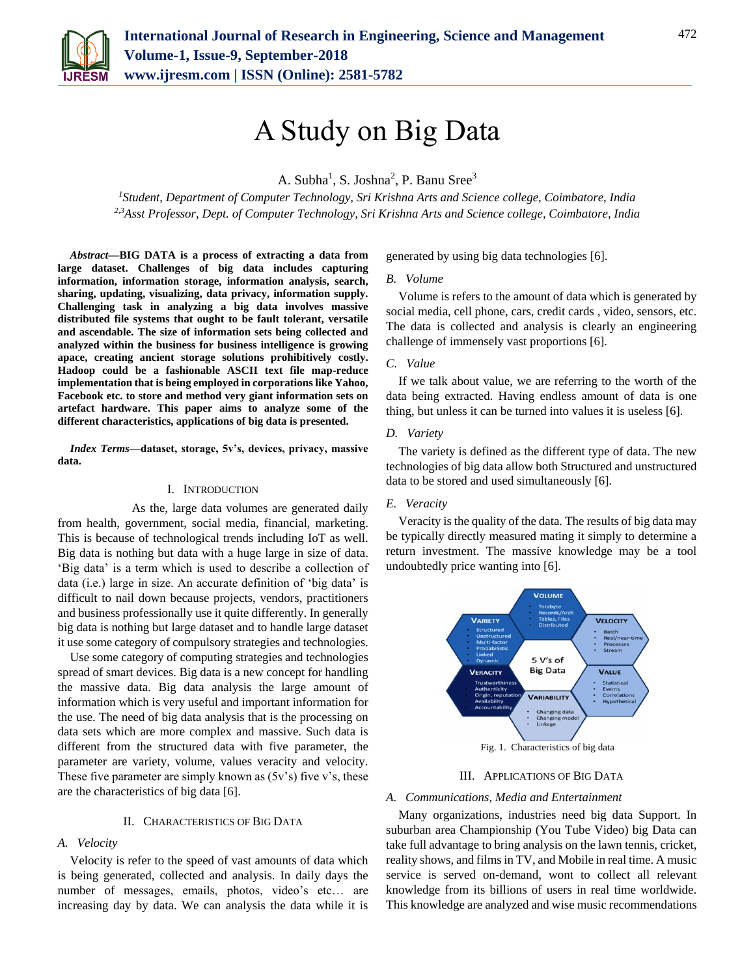

# A Study on Big Data

A. Subha<sup>1</sup>, S. Joshna<sup>2</sup>, P. Banu Sree<sup>3</sup>

*<sup>1</sup>Student, Department of Computer Technology, Sri Krishna Arts and Science college, Coimbatore, India 2,3Asst Professor, Dept. of Computer Technology, Sri Krishna Arts and Science college, Coimbatore, India*

*Abstract***—BIG DATA is a process of extracting a data from large dataset. Challenges of big data includes capturing information, information storage, information analysis, search, sharing, updating, visualizing, data privacy, information supply. Challenging task in analyzing a big data involves massive distributed file systems that ought to be fault tolerant, versatile and ascendable. The size of information sets being collected and analyzed within the business for business intelligence is growing apace, creating ancient storage solutions prohibitively costly. Hadoop could be a fashionable ASCII text file map-reduce implementation that is being employed in corporations like Yahoo, Facebook etc. to store and method very giant information sets on artefact hardware. This paper aims to analyze some of the different characteristics, applications of big data is presented.**

*Index Terms***—dataset, storage, 5v's, devices, privacy, massive data.**

#### I. INTRODUCTION

 As the, large data volumes are generated daily from health, government, social media, financial, marketing. This is because of technological trends including IoT as well. Big data is nothing but data with a huge large in size of data. 'Big data' is a term which is used to describe a collection of data (i.e.) large in size. An accurate definition of 'big data' is difficult to nail down because projects, vendors, practitioners and business professionally use it quite differently. In generally big data is nothing but large dataset and to handle large dataset it use some category of compulsory strategies and technologies.

Use some category of computing strategies and technologies spread of smart devices. Big data is a new concept for handling the massive data. Big data analysis the large amount of information which is very useful and important information for the use. The need of big data analysis that is the processing on data sets which are more complex and massive. Such data is different from the structured data with five parameter, the parameter are variety, volume, values veracity and velocity. These five parameter are simply known as  $(5v's)$  five v's, these are the characteristics of big data [6].

#### II. CHARACTERISTICS OF BIG DATA

#### *A. Velocity*

Velocity is refer to the speed of vast amounts of data which is being generated, collected and analysis. In daily days the number of messages, emails, photos, video's etc… are increasing day by data. We can analysis the data while it is

generated by using big data technologies [6].

#### *B. Volume*

Volume is refers to the amount of data which is generated by social media, cell phone, cars, credit cards , video, sensors, etc. The data is collected and analysis is clearly an engineering challenge of immensely vast proportions [6].

#### *C. Value*

If we talk about value, we are referring to the worth of the data being extracted. Having endless amount of data is one thing, but unless it can be turned into values it is useless [6].

## *D. Variety*

The variety is defined as the different type of data. The new technologies of big data allow both Structured and unstructured data to be stored and used simultaneously [6].

#### *E. Veracity*

Veracity is the quality of the data. The results of big data may be typically directly measured mating it simply to determine a return investment. The massive knowledge may be a tool undoubtedly price wanting into [6].



#### III. APPLICATIONS OF BIG DATA

#### *A. Communications, Media and Entertainment*

Many organizations, industries need big data Support. In suburban area Championship (You Tube Video) big Data can take full advantage to bring analysis on the lawn tennis, cricket, reality shows, and films in TV, and Mobile in real time. A music service is served on-demand, wont to collect all relevant knowledge from its billions of users in real time worldwide. This knowledge are analyzed and wise music recommendations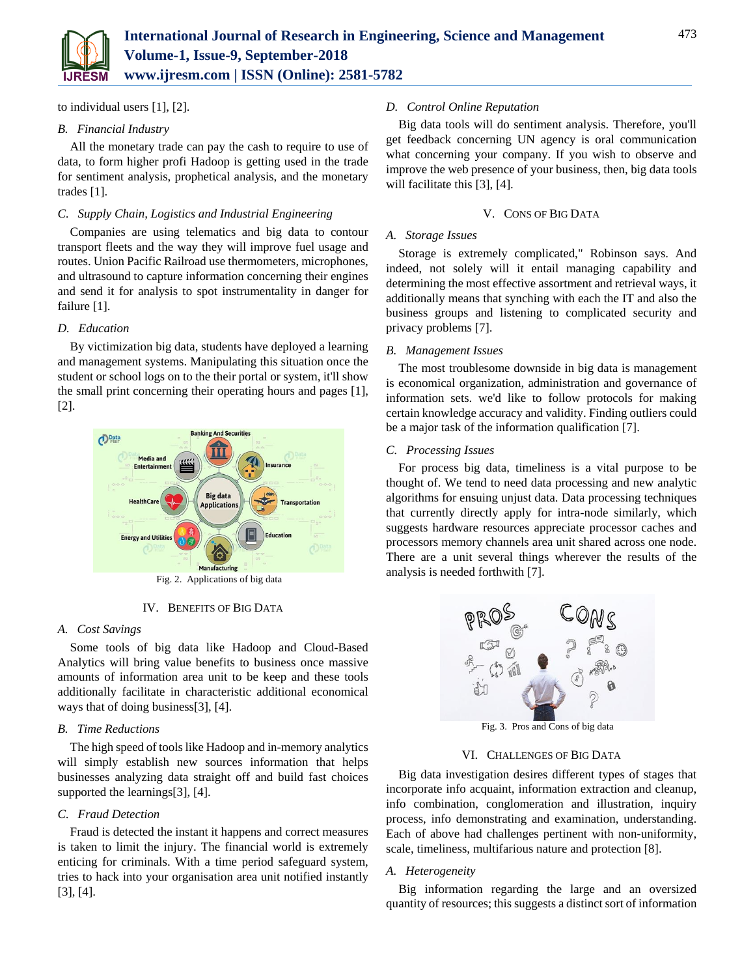

to individual users [1], [2].

# *B. Financial Industry*

All the monetary trade can pay the cash to require to use of data, to form higher profi Hadoop is getting used in the trade for sentiment analysis, prophetical analysis, and the monetary trades [1].

# *C. Supply Chain, Logistics and Industrial Engineering*

Companies are using telematics and big data to contour transport fleets and the way they will improve fuel usage and routes. Union Pacific Railroad use thermometers, microphones, and ultrasound to capture information concerning their engines and send it for analysis to spot instrumentality in danger for failure [1].

# *D. Education*

By victimization big data, students have deployed a learning and management systems. Manipulating this situation once the student or school logs on to the their portal or system, it'll show the small print concerning their operating hours and pages [1], [2].



Fig. 2. Applications of big data

# IV. BENEFITS OF BIG DATA

# *A. Cost Savings*

Some tools of big data like Hadoop and Cloud-Based Analytics will bring value benefits to business once massive amounts of information area unit to be keep and these tools additionally facilitate in characteristic additional economical ways that of doing business[3], [4].

# *B. Time Reductions*

The high speed of tools like Hadoop and in-memory analytics will simply establish new sources information that helps businesses analyzing data straight off and build fast choices supported the learnings[3], [4].

# *C. Fraud Detection*

Fraud is detected the instant it happens and correct measures is taken to limit the injury. The financial world is extremely enticing for criminals. With a time period safeguard system, tries to hack into your organisation area unit notified instantly [3], [4].

# *D. Control Online Reputation*

Big data tools will do sentiment analysis. Therefore, you'll get feedback concerning UN agency is oral communication what concerning your company. If you wish to observe and improve the web presence of your business, then, big data tools will facilitate this [3], [4].

## V. CONS OF BIG DATA

## *A. Storage Issues*

Storage is extremely complicated," Robinson says. And indeed, not solely will it entail managing capability and determining the most effective assortment and retrieval ways, it additionally means that synching with each the IT and also the business groups and listening to complicated security and privacy problems [7].

#### *B. Management Issues*

The most troublesome downside in big data is management is economical organization, administration and governance of information sets. we'd like to follow protocols for making certain knowledge accuracy and validity. Finding outliers could be a major task of the information qualification [7].

## *C. Processing Issues*

For process big data, timeliness is a vital purpose to be thought of. We tend to need data processing and new analytic algorithms for ensuing unjust data. Data processing techniques that currently directly apply for intra-node similarly, which suggests hardware resources appreciate processor caches and processors memory channels area unit shared across one node. There are a unit several things wherever the results of the analysis is needed forthwith [7].



Fig. 3. Pros and Cons of big data

#### VI. CHALLENGES OF BIG DATA

Big data investigation desires different types of stages that incorporate info acquaint, information extraction and cleanup, info combination, conglomeration and illustration, inquiry process, info demonstrating and examination, understanding. Each of above had challenges pertinent with non-uniformity, scale, timeliness, multifarious nature and protection [8].

# *A. Heterogeneity*

Big information regarding the large and an oversized quantity of resources; this suggests a distinct sort of information